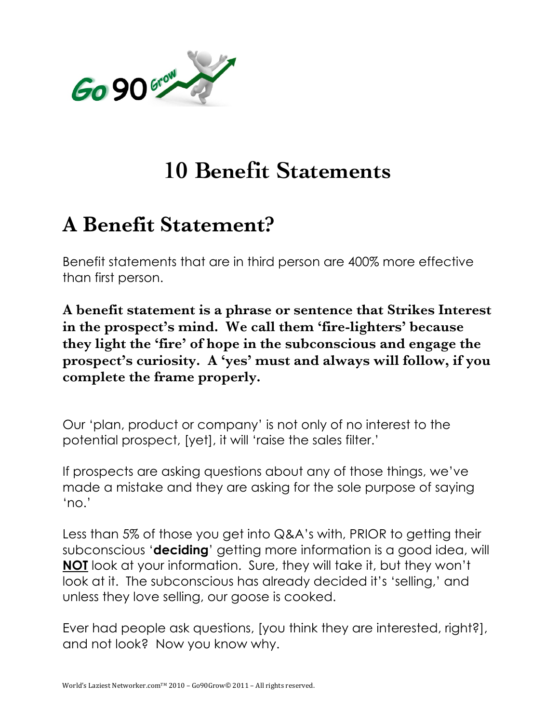

## **10 Benefit Statements**

## **A Benefit Statement?**

Benefit statements that are in third person are 400% more effective than first person.

**A benefit statement is a phrase or sentence that Strikes Interest in the prospect's mind. We call them 'fire-lighters' because they light the 'fire' of hope in the subconscious and engage the prospect's curiosity. A 'yes' must and always will follow, if you complete the frame properly.** 

Our 'plan, product or company' is not only of no interest to the potential prospect, [yet], it will 'raise the sales filter.'

If prospects are asking questions about any of those things, we've made a mistake and they are asking for the sole purpose of saying 'no.'

Less than 5% of those you get into Q&A's with, PRIOR to getting their subconscious '**deciding**' getting more information is a good idea, will **NOT** look at your information. Sure, they will take it, but they won't look at it. The subconscious has already decided it's 'selling,' and unless they love selling, our goose is cooked.

Ever had people ask questions, [you think they are interested, right?], and not look? Now you know why.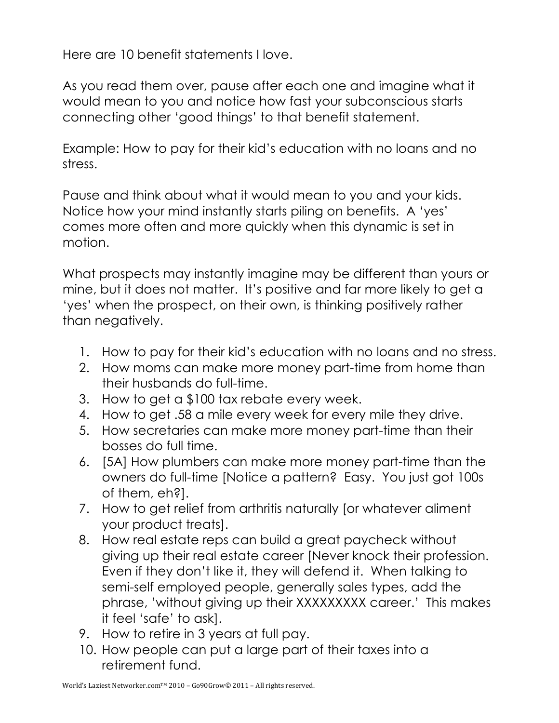Here are 10 benefit statements I love.

As you read them over, pause after each one and imagine what it would mean to you and notice how fast your subconscious starts connecting other 'good things' to that benefit statement.

Example: How to pay for their kid's education with no loans and no stress.

Pause and think about what it would mean to you and your kids. Notice how your mind instantly starts piling on benefits. A 'yes' comes more often and more quickly when this dynamic is set in motion.

What prospects may instantly imagine may be different than yours or mine, but it does not matter. It's positive and far more likely to get a 'yes' when the prospect, on their own, is thinking positively rather than negatively.

- 1. How to pay for their kid's education with no loans and no stress.
- 2. How moms can make more money part-time from home than their husbands do full-time.
- 3. How to get a \$100 tax rebate every week.
- 4. How to get .58 a mile every week for every mile they drive.
- 5. How secretaries can make more money part-time than their bosses do full time.
- 6. [5A] How plumbers can make more money part-time than the owners do full-time [Notice a pattern? Easy. You just got 100s of them, eh?].
- 7. How to get relief from arthritis naturally [or whatever aliment your product treats].
- 8. How real estate reps can build a great paycheck without giving up their real estate career [Never knock their profession. Even if they don't like it, they will defend it. When talking to semi-self employed people, generally sales types, add the phrase, 'without giving up their XXXXXXXXX career.' This makes it feel 'safe' to ask].
- 9. How to retire in 3 years at full pay.
- 10. How people can put a large part of their taxes into a retirement fund.